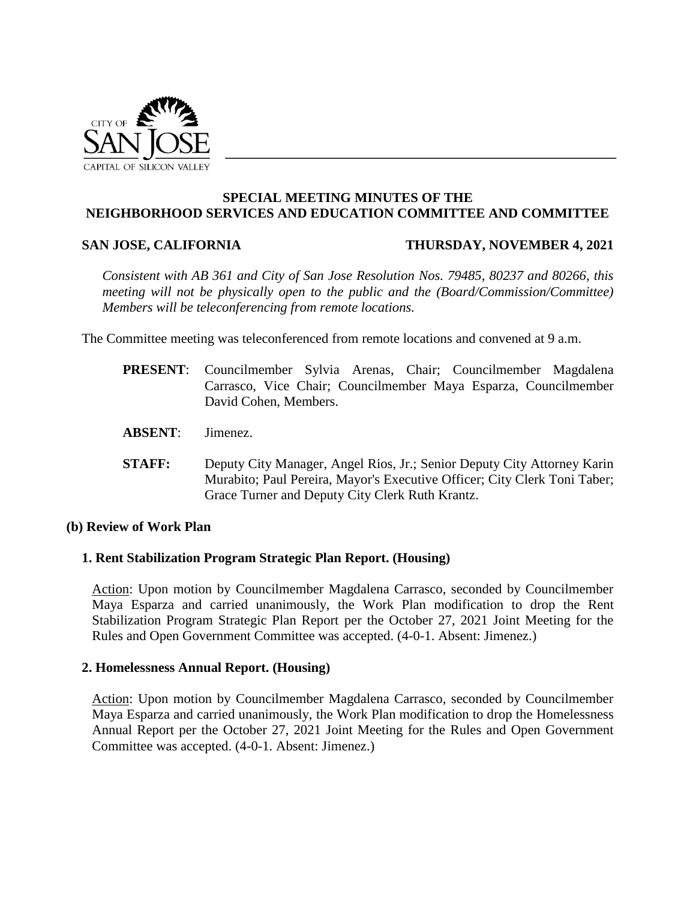

### **SPECIAL MEETING MINUTES OF THE NEIGHBORHOOD SERVICES AND EDUCATION COMMITTEE AND COMMITTEE**

#### **SAN JOSE, CALIFORNIA THURSDAY, NOVEMBER 4, 2021**

*Consistent with AB 361 and City of San Jose Resolution Nos. 79485, 80237 and 80266, this meeting will not be physically open to the public and the (Board/Commission/Committee) Members will be teleconferencing from remote locations.*

The Committee meeting was teleconferenced from remote locations and convened at 9 a.m.

- **PRESENT**: Councilmember Sylvia Arenas, Chair; Councilmember Magdalena Carrasco, Vice Chair; Councilmember Maya Esparza, Councilmember David Cohen, Members.
- **ABSENT**: Jimenez.
- **STAFF:** Deputy City Manager, Angel Rios, Jr.; Senior Deputy City Attorney Karin Murabito; Paul Pereira, Mayor's Executive Officer; City Clerk Toni Taber; Grace Turner and Deputy City Clerk Ruth Krantz.

### **(b) Review of Work Plan**

### **1. Rent Stabilization Program Strategic Plan Report. (Housing)**

Action: Upon motion by Councilmember Magdalena Carrasco, seconded by Councilmember Maya Esparza and carried unanimously, the Work Plan modification to drop the Rent Stabilization Program Strategic Plan Report per the October 27, 2021 Joint Meeting for the Rules and Open Government Committee was accepted. (4-0-1. Absent: Jimenez.)

#### **2. Homelessness Annual Report. (Housing)**

Action: Upon motion by Councilmember Magdalena Carrasco, seconded by Councilmember Maya Esparza and carried unanimously, the Work Plan modification to drop the Homelessness Annual Report per the October 27, 2021 Joint Meeting for the Rules and Open Government Committee was accepted. (4-0-1. Absent: Jimenez.)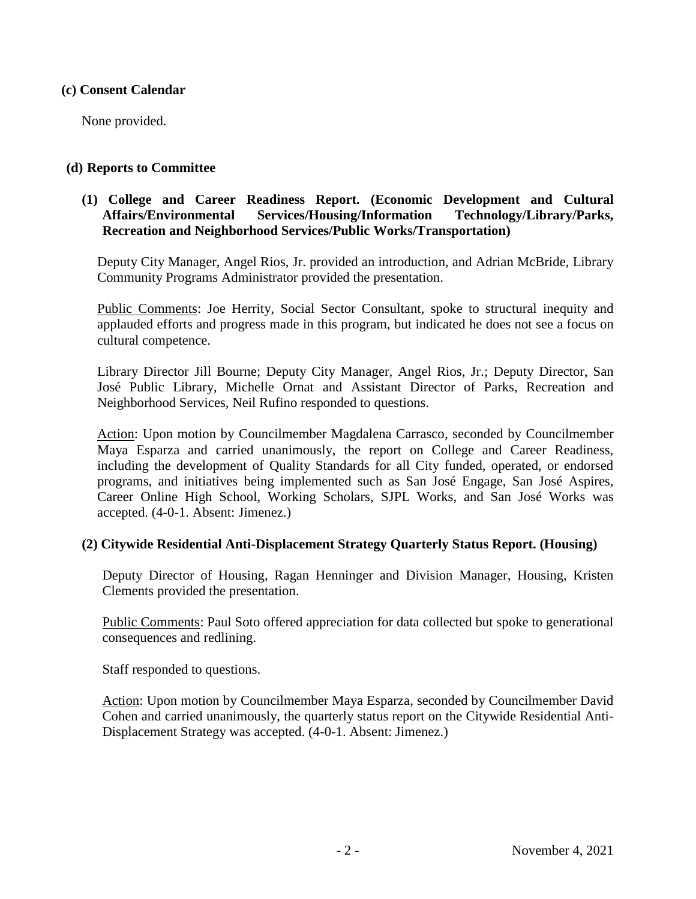### **(c) Consent Calendar**

None provided.

#### **(d) Reports to Committee**

# **(1) College and Career Readiness Report. (Economic Development and Cultural Affairs/Environmental Services/Housing/Information Technology/Library/Parks, Recreation and Neighborhood Services/Public Works/Transportation)**

Deputy City Manager, Angel Rios, Jr. provided an introduction, and Adrian McBride, Library Community Programs Administrator provided the presentation.

Public Comments: Joe Herrity, Social Sector Consultant, spoke to structural inequity and applauded efforts and progress made in this program, but indicated he does not see a focus on cultural competence.

Library Director Jill Bourne; Deputy City Manager, Angel Rios, Jr.; Deputy Director, San José Public Library, Michelle Ornat and Assistant Director of Parks, Recreation and Neighborhood Services, Neil Rufino responded to questions.

Action: Upon motion by Councilmember Magdalena Carrasco, seconded by Councilmember Maya Esparza and carried unanimously, the report on College and Career Readiness, including the development of Quality Standards for all City funded, operated, or endorsed programs, and initiatives being implemented such as San José Engage, San José Aspires, Career Online High School, Working Scholars, SJPL Works, and San José Works was accepted. (4-0-1. Absent: Jimenez.)

## **(2) Citywide Residential Anti-Displacement Strategy Quarterly Status Report. (Housing)**

Deputy Director of Housing, Ragan Henninger and Division Manager, Housing, Kristen Clements provided the presentation.

Public Comments: Paul Soto offered appreciation for data collected but spoke to generational consequences and redlining.

Staff responded to questions.

Action: Upon motion by Councilmember Maya Esparza, seconded by Councilmember David Cohen and carried unanimously, the quarterly status report on the Citywide Residential Anti-Displacement Strategy was accepted. (4-0-1. Absent: Jimenez.)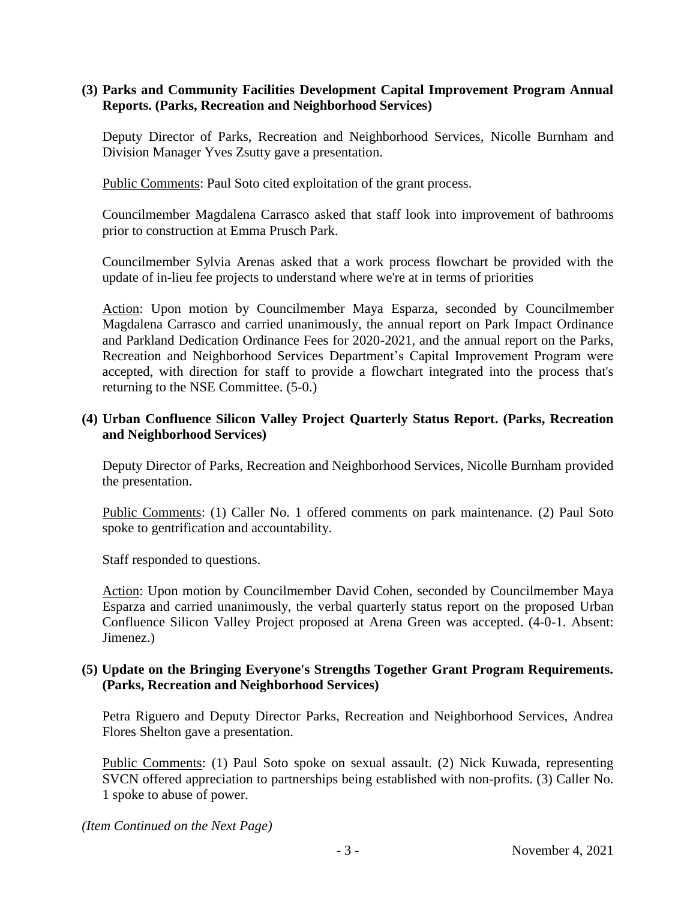# **(3) Parks and Community Facilities Development Capital Improvement Program Annual Reports. (Parks, Recreation and Neighborhood Services)**

Deputy Director of Parks, Recreation and Neighborhood Services, Nicolle Burnham and Division Manager Yves Zsutty gave a presentation.

Public Comments: Paul Soto cited exploitation of the grant process.

Councilmember Magdalena Carrasco asked that staff look into improvement of bathrooms prior to construction at Emma Prusch Park.

Councilmember Sylvia Arenas asked that a work process flowchart be provided with the update of in-lieu fee projects to understand where we're at in terms of priorities

Action: Upon motion by Councilmember Maya Esparza, seconded by Councilmember Magdalena Carrasco and carried unanimously, the annual report on Park Impact Ordinance and Parkland Dedication Ordinance Fees for 2020-2021, and the annual report on the Parks, Recreation and Neighborhood Services Department's Capital Improvement Program were accepted, with direction for staff to provide a flowchart integrated into the process that's returning to the NSE Committee. (5-0.)

# **(4) Urban Confluence Silicon Valley Project Quarterly Status Report. (Parks, Recreation and Neighborhood Services)**

Deputy Director of Parks, Recreation and Neighborhood Services, Nicolle Burnham provided the presentation.

Public Comments: (1) Caller No. 1 offered comments on park maintenance. (2) Paul Soto spoke to gentrification and accountability.

Staff responded to questions.

Action: Upon motion by Councilmember David Cohen, seconded by Councilmember Maya Esparza and carried unanimously, the verbal quarterly status report on the proposed Urban Confluence Silicon Valley Project proposed at Arena Green was accepted. (4-0-1. Absent: Jimenez.)

### **(5) Update on the Bringing Everyone's Strengths Together Grant Program Requirements. (Parks, Recreation and Neighborhood Services)**

Petra Riguero and Deputy Director Parks, Recreation and Neighborhood Services, Andrea Flores Shelton gave a presentation.

Public Comments: (1) Paul Soto spoke on sexual assault. (2) Nick Kuwada, representing SVCN offered appreciation to partnerships being established with non-profits. (3) Caller No. 1 spoke to abuse of power.

*(Item Continued on the Next Page)*